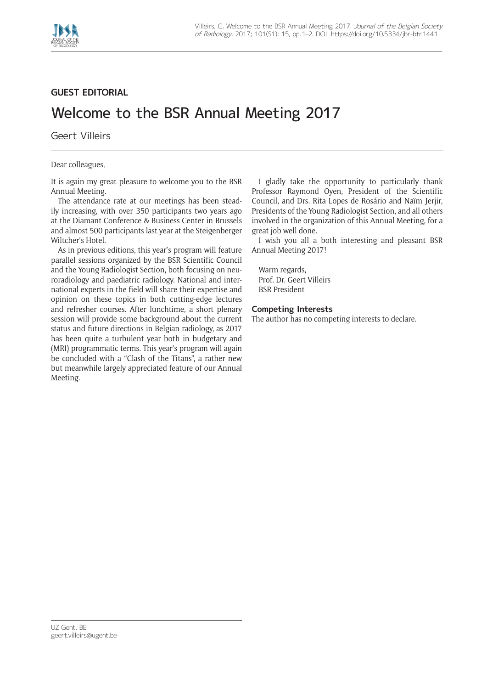

## **GUEST EDITORIAL**

## Welcome to the BSR Annual Meeting 2017

Geert Villeirs

Dear colleagues,

It is again my great pleasure to welcome you to the BSR Annual Meeting.

The attendance rate at our meetings has been steadily increasing, with over 350 participants two years ago at the Diamant Conference & Business Center in Brussels and almost 500 participants last year at the Steigenberger Wiltcher's Hotel.

As in previous editions, this year's program will feature parallel sessions organized by the BSR Scientific Council and the Young Radiologist Section, both focusing on neuroradiology and paediatric radiology. National and international experts in the field will share their expertise and opinion on these topics in both cutting-edge lectures and refresher courses. After lunchtime, a short plenary session will provide some background about the current status and future directions in Belgian radiology, as 2017 has been quite a turbulent year both in budgetary and (MRI) programmatic terms. This year's program will again be concluded with a "Clash of the Titans", a rather new but meanwhile largely appreciated feature of our Annual Meeting.

I gladly take the opportunity to particularly thank Professor Raymond Oyen, President of the Scientific Council, and Drs. Rita Lopes de Rosário and Naïm Jerjir, Presidents of the Young Radiologist Section, and all others involved in the organization of this Annual Meeting, for a great job well done.

I wish you all a both interesting and pleasant BSR Annual Meeting 2017!

Warm regards, Prof. Dr. Geert Villeirs BSR President

## **Competing Interests**

The author has no competing interests to declare.